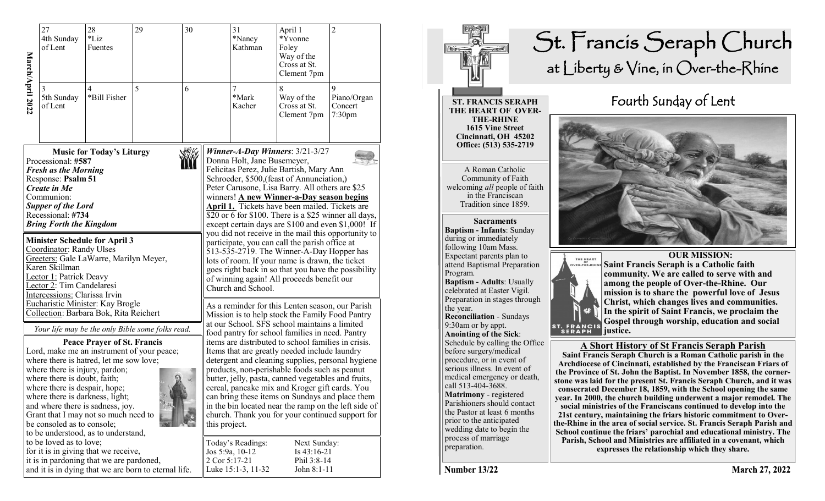|                                                                                                                                                                                                                                                    | 27<br>4th Sunday<br>of Lent                                                                                                                                      | 28<br>$*$ Liz<br>Fuentes                                                                                                                                    | 29                                                                                             | 30                                                                                                                                                                                                                                                                                                                                                                   |                                                            | 31<br>*Nancy<br>Kathman                                                                                                                                                                                                                                                                                                                                                                                                            | April 1<br>*Yvonne<br>Foley<br>Way of the<br>Cross at St.<br>Clement 7pm | $\overline{c}$                                    |  |  |
|----------------------------------------------------------------------------------------------------------------------------------------------------------------------------------------------------------------------------------------------------|------------------------------------------------------------------------------------------------------------------------------------------------------------------|-------------------------------------------------------------------------------------------------------------------------------------------------------------|------------------------------------------------------------------------------------------------|----------------------------------------------------------------------------------------------------------------------------------------------------------------------------------------------------------------------------------------------------------------------------------------------------------------------------------------------------------------------|------------------------------------------------------------|------------------------------------------------------------------------------------------------------------------------------------------------------------------------------------------------------------------------------------------------------------------------------------------------------------------------------------------------------------------------------------------------------------------------------------|--------------------------------------------------------------------------|---------------------------------------------------|--|--|
| March/April 2022                                                                                                                                                                                                                                   | 5th Sunday<br>of Lent                                                                                                                                            | 4<br>*Bill Fisher                                                                                                                                           | 5                                                                                              | 6                                                                                                                                                                                                                                                                                                                                                                    |                                                            | 7<br>$^*$ Mark<br>Kacher                                                                                                                                                                                                                                                                                                                                                                                                           | 8<br>Way of the<br>Cross at St.<br>Clement 7pm                           | 9<br>Piano/Organ<br>Concert<br>7:30 <sub>pm</sub> |  |  |
| <b>NWW</b><br><b>Music for Today's Liturgy</b><br>Processional: #587<br><b>Fresh as the Morning</b><br>Response: Psalm 51<br><b>Create in Me</b><br>Communion:<br><b>Supper of the Lord</b><br>Recessional: #734<br><b>Bring Forth the Kingdom</b> |                                                                                                                                                                  |                                                                                                                                                             |                                                                                                |                                                                                                                                                                                                                                                                                                                                                                      |                                                            | Winner-A-Day Winners: $3/21-3/27$<br>Donna Holt, Jane Busemeyer,<br>Felicitas Perez, Julie Bartish, Mary Ann<br>Schroeder, \$500, (feast of Annunciation,)<br>Peter Carusone, Lisa Barry. All others are \$25<br>winners! A new Winner-a-Day season begins<br><b>April 1.</b> Tickets have been mailed. Tickets are<br>\$20 or 6 for \$100. There is a \$25 winner all days,<br>except certain days are \$100 and even \$1,000! If |                                                                          |                                                   |  |  |
| <b>Minister Schedule for April 3</b><br>Coordinator: Randy Ulses<br>Greeters: Gale LaWarre, Marilyn Meyer,<br>Karen Skillman<br>Lector 1: Patrick Deavy<br>Lector 2: Tim Candelaresi<br>Intercessions: Clarissa Irvin                              |                                                                                                                                                                  |                                                                                                                                                             |                                                                                                |                                                                                                                                                                                                                                                                                                                                                                      |                                                            | you did not receive in the mail this opportunity to<br>participate, you can call the parish office at<br>513-535-2719. The Winner-A-Day Hopper has<br>lots of room. If your name is drawn, the ticket<br>goes right back in so that you have the possibility<br>of winning again! All proceeds benefit our<br>Church and School.                                                                                                   |                                                                          |                                                   |  |  |
|                                                                                                                                                                                                                                                    |                                                                                                                                                                  | Eucharistic Minister: Kay Brogle<br>Collection: Barbara Bok, Rita Reichert<br><b>Peace Prayer of St. Francis</b><br>where there is hatred, let me sow love; | Your life may be the only Bible some folks read.<br>Lord, make me an instrument of your peace; | As a reminder for this Lenten season, our Parish<br>Mission is to help stock the Family Food Pantry<br>at our School. SFS school maintains a limited<br>food pantry for school families in need. Pantry<br>items are distributed to school families in crisis.<br>Items that are greatly needed include laundry<br>detergent and cleaning supplies, personal hygiene |                                                            |                                                                                                                                                                                                                                                                                                                                                                                                                                    |                                                                          |                                                   |  |  |
|                                                                                                                                                                                                                                                    | where there is injury, pardon;<br>where there is doubt, faith;<br>where there is despair, hope;<br>where there is darkness, light;<br>be consoled as to console; | and where there is sadness, joy.<br>Grant that I may not so much need to<br>to be understood, as to understand,                                             |                                                                                                | products, non-perishable foods such as peanut<br>butter, jelly, pasta, canned vegetables and fruits,<br>cereal, pancake mix and Kroger gift cards. You<br>can bring these items on Sundays and place them<br>in the bin located near the ramp on the left side of<br>church. Thank you for your continued support for<br>this project.                               |                                                            |                                                                                                                                                                                                                                                                                                                                                                                                                                    |                                                                          |                                                   |  |  |
|                                                                                                                                                                                                                                                    | to be loved as to love;                                                                                                                                          | for it is in giving that we receive,<br>it is in pardoning that we are pardoned,                                                                            | and it is in dying that we are born to eternal life.                                           | 2 Cor 5:17-21                                                                                                                                                                                                                                                                                                                                                        | Today's Readings:<br>Jos 5:9a, 10-12<br>Luke 15:1-3, 11-32 | Next Sunday:<br>Is 43:16-21<br>Phil 3:8-14<br>John 8:1-11                                                                                                                                                                                                                                                                                                                                                                          |                                                                          |                                                   |  |  |